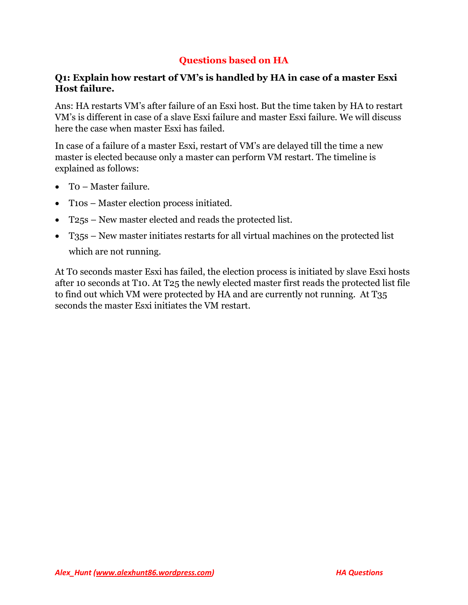## **Questions based on HA**

#### **Q1: Explain how restart of VM's is handled by HA in case of a master Esxi Host failure.**

Ans: HA restarts VM's after failure of an Esxi host. But the time taken by HA to restart VM's is different in case of a slave Esxi failure and master Esxi failure. We will discuss here the case when master Esxi has failed.

In case of a failure of a master Esxi, restart of VM's are delayed till the time a new master is elected because only a master can perform VM restart. The timeline is explained as follows:

- T0 Master failure.
- T10s Master election process initiated.
- T25s New master elected and reads the protected list.
- T35s New master initiates restarts for all virtual machines on the protected list

which are not running.

At T0 seconds master Esxi has failed, the election process is initiated by slave Esxi hosts after 10 seconds at T10. At T25 the newly elected master first reads the protected list file to find out which VM were protected by HA and are currently not running. At T35 seconds the master Esxi initiates the VM restart.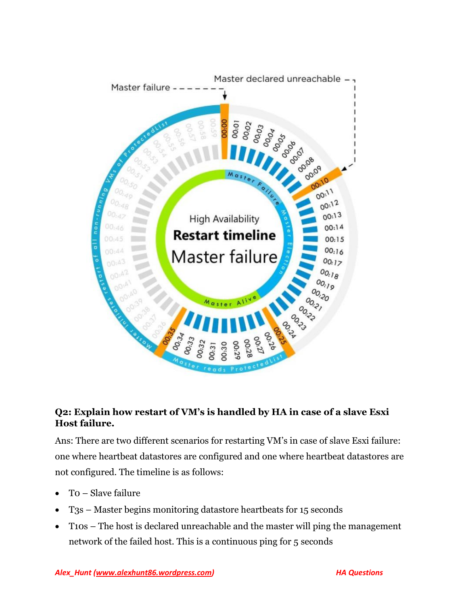

# **Q2: Explain how restart of VM's is handled by HA in case of a slave Esxi Host failure.**

Ans: There are two different scenarios for restarting VM's in case of slave Esxi failure: one where heartbeat datastores are configured and one where heartbeat datastores are not configured. The timeline is as follows:

- T0 Slave failure
- T3s Master begins monitoring datastore heartbeats for 15 seconds
- T10s The host is declared unreachable and the master will ping the management network of the failed host. This is a continuous ping for 5 seconds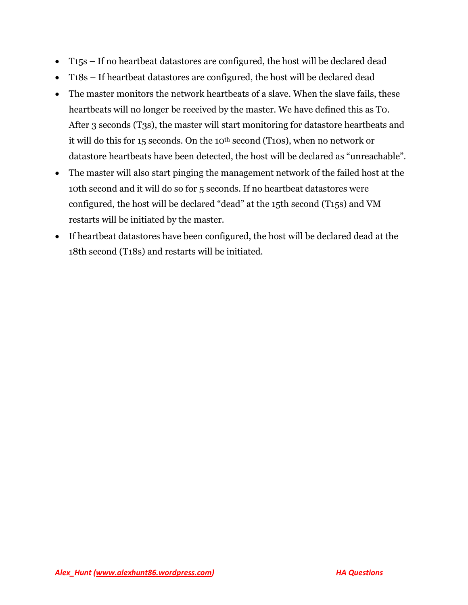- T15s If no heartbeat datastores are configured, the host will be declared dead
- T18s If heartbeat datastores are configured, the host will be declared dead
- The master monitors the network heartbeats of a slave. When the slave fails, these heartbeats will no longer be received by the master. We have defined this as T0. After 3 seconds (T3s), the master will start monitoring for datastore heartbeats and it will do this for 15 seconds. On the 10<sup>th</sup> second (T10s), when no network or datastore heartbeats have been detected, the host will be declared as "unreachable".
- The master will also start pinging the management network of the failed host at the 10th second and it will do so for 5 seconds. If no heartbeat datastores were configured, the host will be declared "dead" at the 15th second (T15s) and VM restarts will be initiated by the master.
- If heartbeat datastores have been configured, the host will be declared dead at the 18th second (T18s) and restarts will be initiated.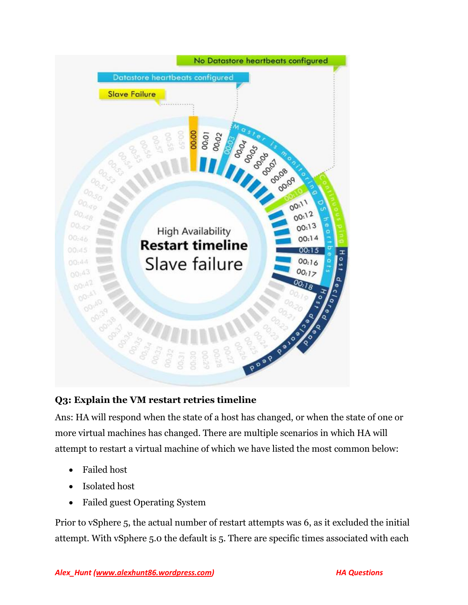

# **Q3: Explain the VM restart retries timeline**

Ans: HA will respond when the state of a host has changed, or when the state of one or more virtual machines has changed. There are multiple scenarios in which HA will attempt to restart a virtual machine of which we have listed the most common below:

- Failed host
- Isolated host
- Failed guest Operating System

Prior to vSphere 5, the actual number of restart attempts was 6, as it excluded the initial attempt. With vSphere 5.0 the default is 5. There are specific times associated with each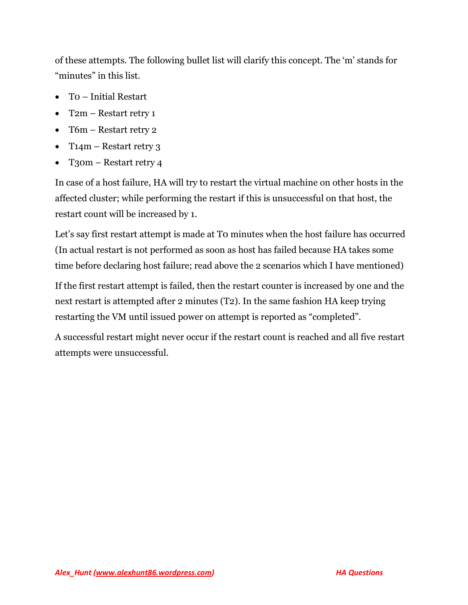of these attempts. The following bullet list will clarify this concept. The 'm' stands for "minutes" in this list.

- T0 Initial Restart
- T2m Restart retry 1
- T6m Restart retry 2
- T14m Restart retry 3
- T<sub>3</sub>0m Restart retry 4

In case of a host failure, HA will try to restart the virtual machine on other hosts in the affected cluster; while performing the restart if this is unsuccessful on that host, the restart count will be increased by 1.

Let's say first restart attempt is made at To minutes when the host failure has occurred (In actual restart is not performed as soon as host has failed because HA takes some time before declaring host failure; read above the 2 scenarios which I have mentioned)

If the first restart attempt is failed, then the restart counter is increased by one and the next restart is attempted after 2 minutes (T2). In the same fashion HA keep trying restarting the VM until issued power on attempt is reported as "completed".

A successful restart might never occur if the restart count is reached and all five restart attempts were unsuccessful.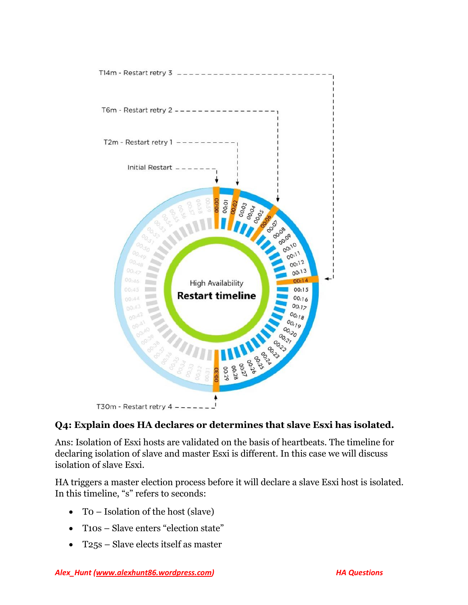

## **Q4: Explain does HA declares or determines that slave Esxi has isolated.**

Ans: Isolation of Esxi hosts are validated on the basis of heartbeats. The timeline for declaring isolation of slave and master Esxi is different. In this case we will discuss isolation of slave Esxi.

HA triggers a master election process before it will declare a slave Esxi host is isolated. In this timeline, "s" refers to seconds:

- T0 Isolation of the host (slave)
- T10s Slave enters "election state"
- T25s Slave elects itself as master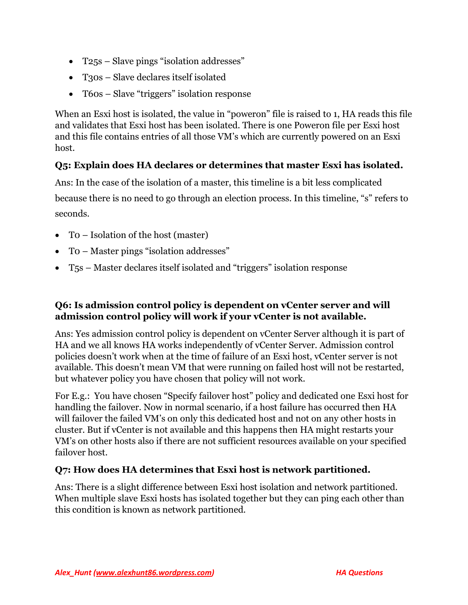- T25s Slave pings "isolation addresses"
- T<sub>3</sub>os Slave declares itself isolated
- T60s Slave "triggers" isolation response

When an Esxi host is isolated, the value in "poweron" file is raised to 1, HA reads this file and validates that Esxi host has been isolated. There is one Poweron file per Esxi host and this file contains entries of all those VM's which are currently powered on an Esxi host.

# **Q5: Explain does HA declares or determines that master Esxi has isolated.**

Ans: In the case of the isolation of a master, this timeline is a bit less complicated because there is no need to go through an election process. In this timeline, "s" refers to seconds.

- T0 Isolation of the host (master)
- T0 Master pings "isolation addresses"
- T5s Master declares itself isolated and "triggers" isolation response

## **Q6: Is admission control policy is dependent on vCenter server and will admission control policy will work if your vCenter is not available.**

Ans: Yes admission control policy is dependent on vCenter Server although it is part of HA and we all knows HA works independently of vCenter Server. Admission control policies doesn't work when at the time of failure of an Esxi host, vCenter server is not available. This doesn't mean VM that were running on failed host will not be restarted, but whatever policy you have chosen that policy will not work.

For E.g.: You have chosen "Specify failover host" policy and dedicated one Esxi host for handling the failover. Now in normal scenario, if a host failure has occurred then HA will failover the failed VM's on only this dedicated host and not on any other hosts in cluster. But if vCenter is not available and this happens then HA might restarts your VM's on other hosts also if there are not sufficient resources available on your specified failover host.

#### **Q7: How does HA determines that Esxi host is network partitioned.**

Ans: There is a slight difference between Esxi host isolation and network partitioned. When multiple slave Esxi hosts has isolated together but they can ping each other than this condition is known as network partitioned.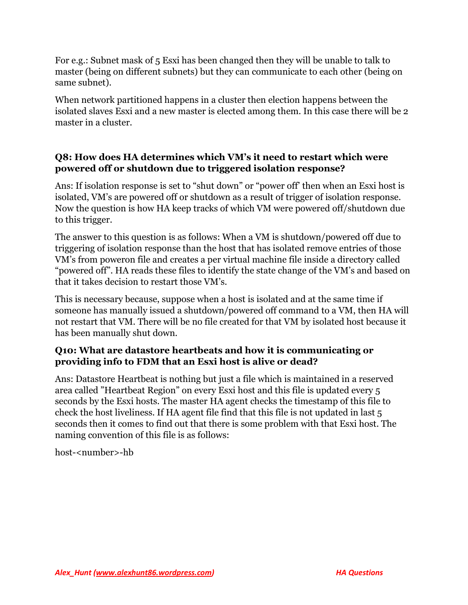For e.g.: Subnet mask of 5 Esxi has been changed then they will be unable to talk to master (being on different subnets) but they can communicate to each other (being on same subnet).

When network partitioned happens in a cluster then election happens between the isolated slaves Esxi and a new master is elected among them. In this case there will be 2 master in a cluster.

## **Q8: How does HA determines which VM's it need to restart which were powered off or shutdown due to triggered isolation response?**

Ans: If isolation response is set to "shut down" or "power off' then when an Esxi host is isolated, VM's are powered off or shutdown as a result of trigger of isolation response. Now the question is how HA keep tracks of which VM were powered off/shutdown due to this trigger.

The answer to this question is as follows: When a VM is shutdown/powered off due to triggering of isolation response than the host that has isolated remove entries of those VM's from poweron file and creates a per virtual machine file inside a directory called "powered off". HA reads these files to identify the state change of the VM's and based on that it takes decision to restart those VM's.

This is necessary because, suppose when a host is isolated and at the same time if someone has manually issued a shutdown/powered off command to a VM, then HA will not restart that VM. There will be no file created for that VM by isolated host because it has been manually shut down.

## **Q10: What are datastore heartbeats and how it is communicating or providing info to FDM that an Esxi host is alive or dead?**

Ans: Datastore Heartbeat is nothing but just a file which is maintained in a reserved area called "Heartbeat Region" on every Esxi host and this file is updated every 5 seconds by the Esxi hosts. The master HA agent checks the timestamp of this file to check the host liveliness. If HA agent file find that this file is not updated in last 5 seconds then it comes to find out that there is some problem with that Esxi host. The naming convention of this file is as follows:

host-<number>-hb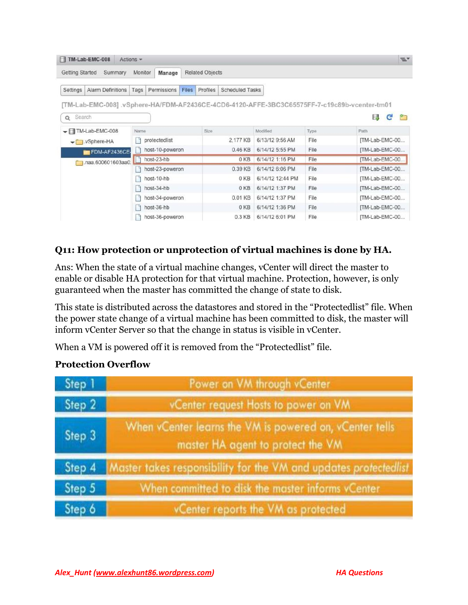| TM-Lab-EMC-008<br>Actions $\star$                                                          |                 |                 |              |                        |                        |                  |      |                | $\equiv$ |
|--------------------------------------------------------------------------------------------|-----------------|-----------------|--------------|------------------------|------------------------|------------------|------|----------------|----------|
| <b>Getting Started</b><br>Monitor<br>Summary<br>Manage                                     |                 |                 |              | <b>Related Objects</b> |                        |                  |      |                |          |
| <b>Alarm Definitions</b><br>Settings                                                       | Tags            | Permissions     | <b>Files</b> | Profiles               | <b>Scheduled Tasks</b> |                  |      |                |          |
| TM-Lab-EMC-008].vSphere-HA/FDM-AF2436CE-4CD6-4120-AFFE-3BC3C65575FF-7-c19c89b-vcenter-tm01 |                 |                 |              |                        |                        |                  |      |                | P٣       |
| Search<br>$\Omega$<br>$\blacktriangledown$ TM-Lab-EMC-008                                  | Name            |                 |              | Size                   |                        | Modified         | Type | c<br>Б<br>Path |          |
| vSphere-HA                                                                                 | protectedlist   |                 |              |                        | 2.177 KB               | 6/13/12 9:56 AM  | File | [TM-Lab-EMC-00 |          |
| FOM-AF2436CE-                                                                              | host-10-poweron |                 |              |                        | 0.46 KB                | 6/14/12 5:55 PM  | File | [TM-Lab-EMC-00 |          |
| naa.600601603aa0.                                                                          | host-23-hb      |                 |              | 0 KB                   |                        | 6/14/12 1:16 PM  | File | [TM-Lab-EMC-00 |          |
|                                                                                            | host-23-poweron |                 |              | 0.39 KB                |                        | 6/14/12 6:06 PM  | File | [TM-Lab-EMC-00 |          |
|                                                                                            | host-10-hb      |                 |              | 0 KB                   |                        | 6/14/12 12:44 PM | File | [TM-Lab-EMC-00 |          |
|                                                                                            | host-34-hb      |                 |              | 0KB                    |                        | 6/14/12 1:37 PM  | File | [TM-Lab-EMC-00 |          |
|                                                                                            | host-34-poweron |                 |              |                        | 0.01 KB                | 6/14/12 1:37 PM  | File | [TM-Lab-EMC-00 |          |
|                                                                                            |                 | host-36-hb      |              |                        | 0 KB                   | 6/14/12 1:36 PM  | File | [TM-Lab-EMC-00 |          |
|                                                                                            |                 | host-36-poweron |              |                        | 0.3 KB                 | 6/14/12 6:01 PM  | File | [TM-Lab-EMC-00 |          |

# **Q11: How protection or unprotection of virtual machines is done by HA.**

Ans: When the state of a virtual machine changes, vCenter will direct the master to enable or disable HA protection for that virtual machine. Protection, however, is only guaranteed when the master has committed the change of state to disk.

This state is distributed across the datastores and stored in the "Protectedlist" file. When the power state change of a virtual machine has been committed to disk, the master will inform vCenter Server so that the change in status is visible in vCenter.

When a VM is powered off it is removed from the "Protectedlist" file.

#### **Protection Overflow**

| Step 1 | Power on VM through vCenter                                                                  |
|--------|----------------------------------------------------------------------------------------------|
| Step 2 | vCenter request Hosts to power on VM                                                         |
| Step 3 | When vCenter learns the VM is powered on, vCenter tells<br>master HA agent to protect the VM |
| Step 4 | Master takes responsibility for the VM and updates protectedlist                             |
| Step 5 | When committed to disk the master informs vCenter                                            |
| Step 6 | vCenter reports the VM as protected                                                          |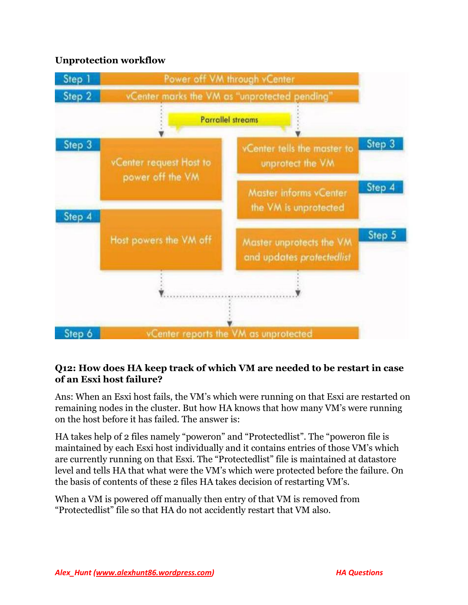## **Unprotection workflow**



### **Q12: How does HA keep track of which VM are needed to be restart in case of an Esxi host failure?**

Ans: When an Esxi host fails, the VM's which were running on that Esxi are restarted on remaining nodes in the cluster. But how HA knows that how many VM's were running on the host before it has failed. The answer is:

HA takes help of 2 files namely "poweron" and "Protectedlist". The "poweron file is maintained by each Esxi host individually and it contains entries of those VM's which are currently running on that Esxi. The "Protectedlist" file is maintained at datastore level and tells HA that what were the VM's which were protected before the failure. On the basis of contents of these 2 files HA takes decision of restarting VM's.

When a VM is powered off manually then entry of that VM is removed from "Protectedlist" file so that HA do not accidently restart that VM also.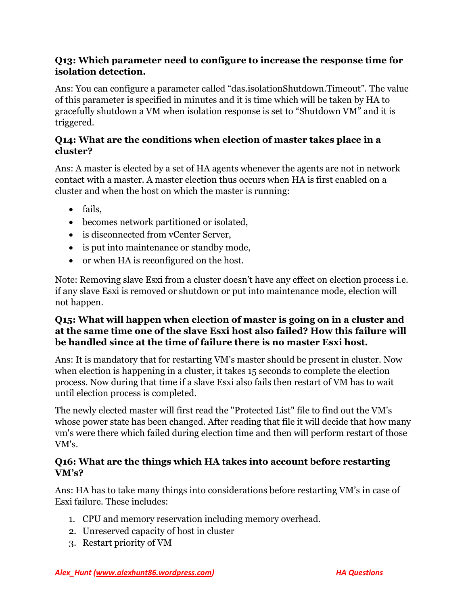#### **Q13: Which parameter need to configure to increase the response time for isolation detection.**

Ans: You can configure a parameter called "das.isolationShutdown.Timeout". The value of this parameter is specified in minutes and it is time which will be taken by HA to gracefully shutdown a VM when isolation response is set to "Shutdown VM" and it is triggered.

## **Q14: What are the conditions when election of master takes place in a cluster?**

Ans: A master is elected by a set of HA agents whenever the agents are not in network contact with a master. A master election thus occurs when HA is first enabled on a cluster and when the host on which the master is running:

- fails,
- becomes network partitioned or isolated,
- is disconnected from vCenter Server,
- is put into maintenance or standby mode,
- or when HA is reconfigured on the host.

Note: Removing slave Esxi from a cluster doesn't have any effect on election process i.e. if any slave Esxi is removed or shutdown or put into maintenance mode, election will not happen.

## **Q15: What will happen when election of master is going on in a cluster and at the same time one of the slave Esxi host also failed? How this failure will be handled since at the time of failure there is no master Esxi host.**

Ans: It is mandatory that for restarting VM's master should be present in cluster. Now when election is happening in a cluster, it takes 15 seconds to complete the election process. Now during that time if a slave Esxi also fails then restart of VM has to wait until election process is completed.

The newly elected master will first read the "Protected List" file to find out the VM's whose power state has been changed. After reading that file it will decide that how many vm's were there which failed during election time and then will perform restart of those VM's.

### **Q16: What are the things which HA takes into account before restarting VM's?**

Ans: HA has to take many things into considerations before restarting VM's in case of Esxi failure. These includes:

- 1. CPU and memory reservation including memory overhead.
- 2. Unreserved capacity of host in cluster
- 3. Restart priority of VM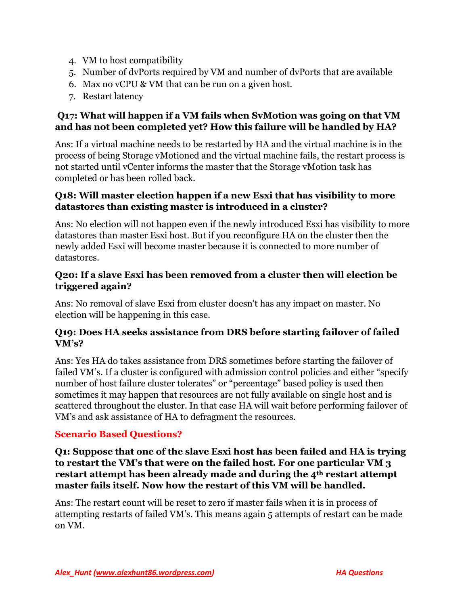- 4. VM to host compatibility
- 5. Number of dvPorts required by VM and number of dvPorts that are available
- 6. Max no vCPU & VM that can be run on a given host.
- 7. Restart latency

## **Q17: What will happen if a VM fails when SvMotion was going on that VM and has not been completed yet? How this failure will be handled by HA?**

Ans: If a virtual machine needs to be restarted by HA and the virtual machine is in the process of being Storage vMotioned and the virtual machine fails, the restart process is not started until vCenter informs the master that the Storage vMotion task has completed or has been rolled back.

### **Q18: Will master election happen if a new Esxi that has visibility to more datastores than existing master is introduced in a cluster?**

Ans: No election will not happen even if the newly introduced Esxi has visibility to more datastores than master Esxi host. But if you reconfigure HA on the cluster then the newly added Esxi will become master because it is connected to more number of datastores.

### **Q20: If a slave Esxi has been removed from a cluster then will election be triggered again?**

Ans: No removal of slave Esxi from cluster doesn't has any impact on master. No election will be happening in this case.

### **Q19: Does HA seeks assistance from DRS before starting failover of failed VM's?**

Ans: Yes HA do takes assistance from DRS sometimes before starting the failover of failed VM's. If a cluster is configured with admission control policies and either "specify number of host failure cluster tolerates" or "percentage" based policy is used then sometimes it may happen that resources are not fully available on single host and is scattered throughout the cluster. In that case HA will wait before performing failover of VM's and ask assistance of HA to defragment the resources.

# **Scenario Based Questions?**

#### **Q1: Suppose that one of the slave Esxi host has been failed and HA is trying to restart the VM's that were on the failed host. For one particular VM 3 restart attempt has been already made and during the 4th restart attempt master fails itself. Now how the restart of this VM will be handled.**

Ans: The restart count will be reset to zero if master fails when it is in process of attempting restarts of failed VM's. This means again 5 attempts of restart can be made on VM.